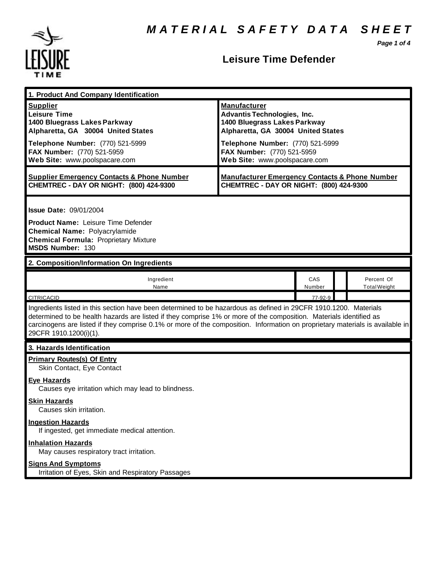*Page 1 of 4*



## **Leisure Time Defender**

| 1. Product And Company Identification                                                                                                                                                                                                                                                                                                                                                             |                                                                                                                                                                                                                                    |               |  |                                   |  |
|---------------------------------------------------------------------------------------------------------------------------------------------------------------------------------------------------------------------------------------------------------------------------------------------------------------------------------------------------------------------------------------------------|------------------------------------------------------------------------------------------------------------------------------------------------------------------------------------------------------------------------------------|---------------|--|-----------------------------------|--|
| <b>Supplier</b><br><b>Leisure Time</b><br>1400 Bluegrass Lakes Parkway<br>Alpharetta, GA 30004 United States<br>Telephone Number: (770) 521-5999<br>FAX Number: (770) 521-5959<br>Web Site: www.poolspacare.com                                                                                                                                                                                   | <b>Manufacturer</b><br><b>Advantis Technologies, Inc.</b><br>1400 Bluegrass Lakes Parkway<br>Alpharetta, GA 30004 United States<br>Telephone Number: (770) 521-5999<br>FAX Number: (770) 521-5959<br>Web Site: www.poolspacare.com |               |  |                                   |  |
| <b>Supplier Emergency Contacts &amp; Phone Number</b><br>CHEMTREC - DAY OR NIGHT: (800) 424-9300                                                                                                                                                                                                                                                                                                  | <b>Manufacturer Emergency Contacts &amp; Phone Number</b><br>CHEMTREC - DAY OR NIGHT: (800) 424-9300                                                                                                                               |               |  |                                   |  |
| <b>Issue Date: 09/01/2004</b><br><b>Product Name: Leisure Time Defender</b><br><b>Chemical Name: Polyacrylamide</b><br><b>Chemical Formula: Proprietary Mixture</b><br><b>MSDS Number: 130</b>                                                                                                                                                                                                    |                                                                                                                                                                                                                                    |               |  |                                   |  |
| 2. Composition/Information On Ingredients                                                                                                                                                                                                                                                                                                                                                         |                                                                                                                                                                                                                                    |               |  |                                   |  |
| Ingredient<br>Name                                                                                                                                                                                                                                                                                                                                                                                |                                                                                                                                                                                                                                    | CAS<br>Number |  | Percent Of<br><b>Total Weight</b> |  |
| <b>CITRICACID</b>                                                                                                                                                                                                                                                                                                                                                                                 |                                                                                                                                                                                                                                    | 77-92-9       |  |                                   |  |
| Ingredients listed in this section have been determined to be hazardous as defined in 29CFR 1910.1200. Materials<br>determined to be health hazards are listed if they comprise 1% or more of the composition. Materials identified as<br>carcinogens are listed if they comprise 0.1% or more of the composition. Information on proprietary materials is available in<br>29CFR 1910.1200(i)(1). |                                                                                                                                                                                                                                    |               |  |                                   |  |
| 3. Hazards Identification                                                                                                                                                                                                                                                                                                                                                                         |                                                                                                                                                                                                                                    |               |  |                                   |  |
| <b>Primary Routes(s) Of Entry</b><br>Skin Contact, Eye Contact<br><b>Eye Hazards</b><br>Causes eye irritation which may lead to blindness.<br><b>Skin Hazards</b><br>Causes skin irritation.<br><b>Ingestion Hazards</b><br>If ingested, get immediate medical attention.<br><b>Inhalation Hazards</b><br>May causes respiratory tract irritation.<br><b>Signs And Symptoms</b>                   |                                                                                                                                                                                                                                    |               |  |                                   |  |
| Irritation of Eyes, Skin and Respiratory Passages                                                                                                                                                                                                                                                                                                                                                 |                                                                                                                                                                                                                                    |               |  |                                   |  |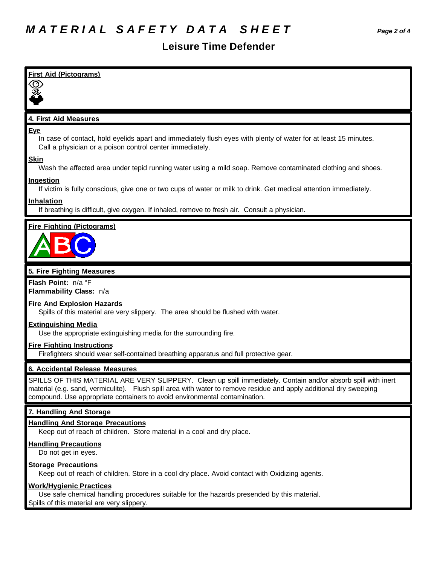## **Leisure Time Defender**

| <b>First Aid (Pictograms)</b>                                                                                                                                                                                                                                                                                     |
|-------------------------------------------------------------------------------------------------------------------------------------------------------------------------------------------------------------------------------------------------------------------------------------------------------------------|
|                                                                                                                                                                                                                                                                                                                   |
|                                                                                                                                                                                                                                                                                                                   |
| 4. First Aid Measures                                                                                                                                                                                                                                                                                             |
| <b>Eye</b><br>In case of contact, hold eyelids apart and immediately flush eyes with plenty of water for at least 15 minutes.<br>Call a physician or a poison control center immediately.                                                                                                                         |
| <b>Skin</b><br>Wash the affected area under tepid running water using a mild soap. Remove contaminated clothing and shoes.                                                                                                                                                                                        |
| <b>Ingestion</b><br>If victim is fully conscious, give one or two cups of water or milk to drink. Get medical attention immediately.                                                                                                                                                                              |
| Inhalation<br>If breathing is difficult, give oxygen. If inhaled, remove to fresh air. Consult a physician.                                                                                                                                                                                                       |
| <b>Fire Fighting (Pictograms)</b>                                                                                                                                                                                                                                                                                 |
| 5. Fire Fighting Measures                                                                                                                                                                                                                                                                                         |
| Flash Point: n/a °F<br>Flammability Class: n/a                                                                                                                                                                                                                                                                    |
| <b>Fire And Explosion Hazards</b><br>Spills of this material are very slippery. The area should be flushed with water.                                                                                                                                                                                            |
|                                                                                                                                                                                                                                                                                                                   |
| <b>Extinguishing Media</b><br>Use the appropriate extinguishing media for the surrounding fire.                                                                                                                                                                                                                   |
| <b>Fire Fighting Instructions</b><br>Firefighters should wear self-contained breathing apparatus and full protective gear.                                                                                                                                                                                        |
| 6. Accidental Release Measures                                                                                                                                                                                                                                                                                    |
| SPILLS OF THIS MATERIAL ARE VERY SLIPPERY. Clean up spill immediately. Contain and/or absorb spill with inert<br>material (e.g. sand, vermiculite). Flush spill area with water to remove residue and apply additional dry sweeping<br>compound. Use appropriate containers to avoid environmental contamination. |
| 7. Handling And Storage                                                                                                                                                                                                                                                                                           |
| <b>Handling And Storage Precautions</b><br>Keep out of reach of children. Store material in a cool and dry place.                                                                                                                                                                                                 |
| <b>Handling Precautions</b><br>Do not get in eyes.                                                                                                                                                                                                                                                                |

**Work/Hygienic Practices**

Use safe chemical handling procedures suitable for the hazards presended by this material. Spills of this material are very slippery.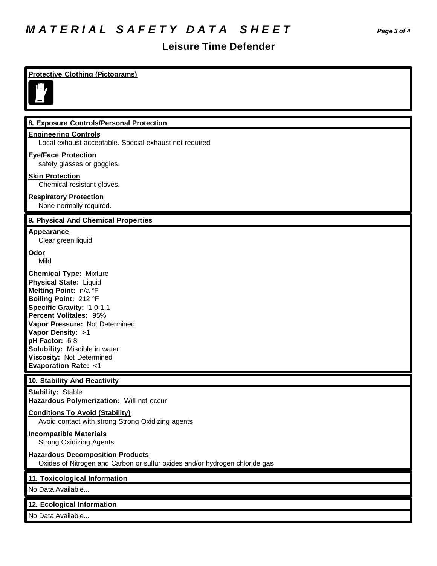# *M A T E R I A L S A F E T Y D A T A S H E E T Page 3 of 4*

#### **Leisure Time Defender**

#### **Protective Clothing (Pictograms) 8. Exposure Controls/Personal Protection Engineering Controls** Local exhaust acceptable. Special exhaust not required **Eye/Face Protection** safety glasses or goggles. **Skin Protection** Chemical-resistant gloves. **Respiratory Protection** None normally required. **9. Physical And Chemical Properties Appearance** Clear green liquid **Odor** Mild **Chemical Type:** Mixture **Physical State:** Liquid **Melting Point:** n/a °F **Boiling Point:** 212 °F **Specific Gravity:** 1.0-1.1 **Percent Volitales:** 95% **Vapor Pressure:** Not Determined **Vapor Density:** >1 **pH Factor:** 6-8 **Solubility:** Miscible in water **Viscosity:** Not Determined **Evaporation Rate:** <1 **10. Stability And Reactivity Stability:** Stable **Hazardous Polymerization:** Will not occur **Conditions To Avoid (Stability)** Avoid contact with strong Strong Oxidizing agents **Incompatible Materials** Strong Oxidizing Agents **Hazardous Decomposition Products** Oxides of Nitrogen and Carbon or sulfur oxides and/or hydrogen chloride gas **11. Toxicological Information** No Data Available... **12. Ecological Information** No Data Available...